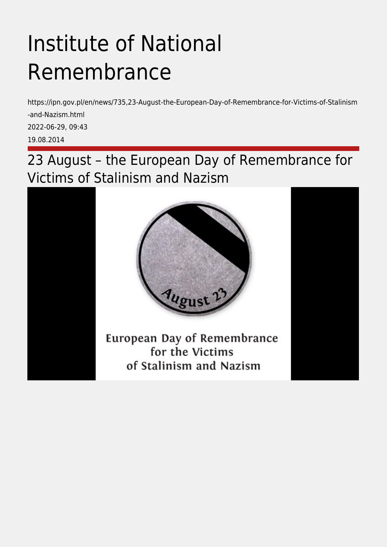## Institute of National Remembrance

https://ipn.gov.pl/en/news/735,23-August-the-European-Day-of-Remembrance-for-Victims-of-Stalinism -and-Nazism.html 2022-06-29, 09:43 19.08.2014

23 August – the European Day of Remembrance for Victims of Stalinism and Nazism

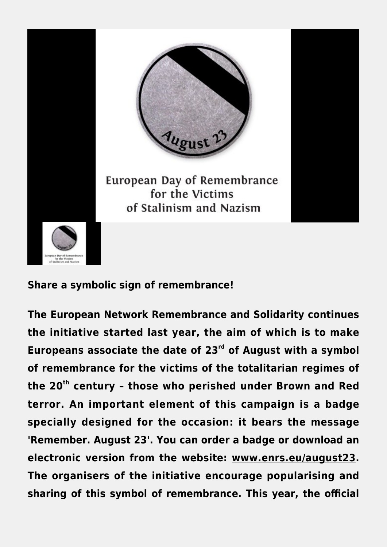

## **Share a symbolic sign of remembrance!**

**The European Network Remembrance and Solidarity continues the initiative started last year, the aim of which is to make Europeans associate the date of 23rd of August with a symbol of remembrance for the victims of the totalitarian regimes of the 20th century – those who perished under Brown and Red terror. An important element of this campaign is a badge specially designed for the occasion: it bears the message 'Remember. August 23'. You can order a badge or download an electronic version from the website: [www.enrs.eu/august23](http://www.enrs.eu/august23). The organisers of the initiative encourage popularising and sharing of this symbol of remembrance. This year, the official**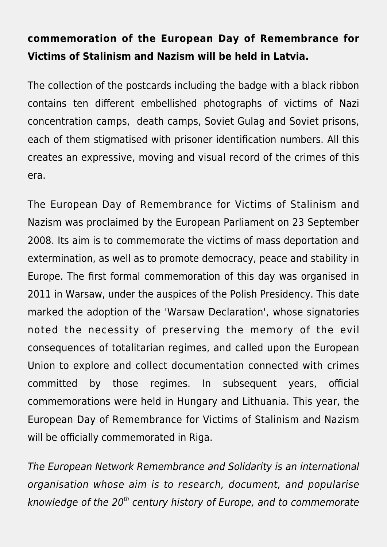## **commemoration of the European Day of Remembrance for Victims of Stalinism and Nazism will be held in Latvia.**

The collection of the postcards including the badge with a black ribbon contains ten different embellished photographs of victims of Nazi concentration camps, death camps, Soviet Gulag and Soviet prisons, each of them stigmatised with prisoner identification numbers. All this creates an expressive, moving and visual record of the crimes of this era.

The European Day of Remembrance for Victims of Stalinism and Nazism was proclaimed by the European Parliament on 23 September 2008. Its aim is to commemorate the victims of mass deportation and extermination, as well as to promote democracy, peace and stability in Europe. The first formal commemoration of this day was organised in 2011 in Warsaw, under the auspices of the Polish Presidency. This date marked the adoption of the 'Warsaw Declaration', whose signatories noted the necessity of preserving the memory of the evil consequences of totalitarian regimes, and called upon the European Union to explore and collect documentation connected with crimes committed by those regimes. In subsequent years, official commemorations were held in Hungary and Lithuania. This year, the European Day of Remembrance for Victims of Stalinism and Nazism will be officially commemorated in Riga.

The European Network Remembrance and Solidarity is an international organisation whose aim is to research, document, and popularise knowledge of the  $20<sup>th</sup>$  century history of Europe, and to commemorate